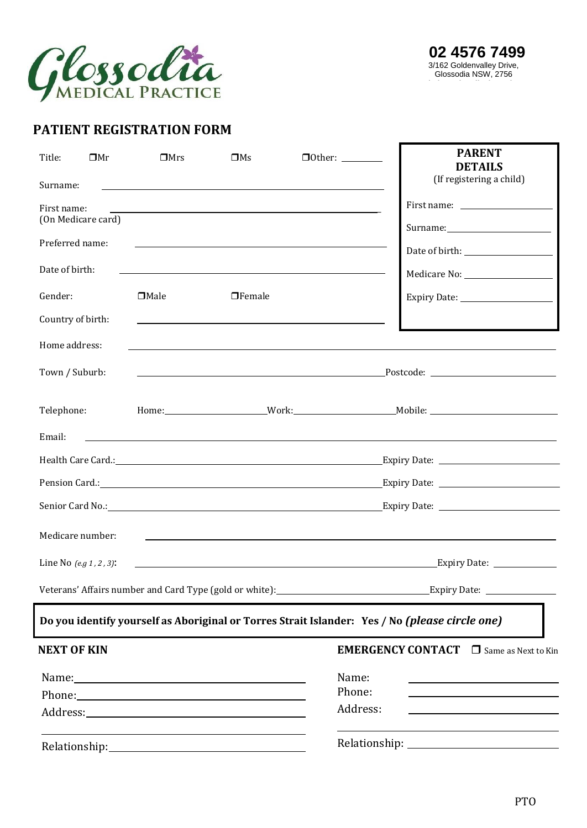

## **PATIENT REGISTRATION FORM**

| Title:             | $\square$ Mr               | $\square$ Mrs | $\square$ Ms                                               | $\Box$ Other: $\_\_\_\_\_\_\_\_\_\_\_$                                                                                 | <b>PARENT</b><br><b>DETAILS</b><br>(If registering a child)                                                           |  |  |  |
|--------------------|----------------------------|---------------|------------------------------------------------------------|------------------------------------------------------------------------------------------------------------------------|-----------------------------------------------------------------------------------------------------------------------|--|--|--|
| Surname:           |                            |               |                                                            |                                                                                                                        |                                                                                                                       |  |  |  |
| First name:        | (On Medicare card)         |               |                                                            |                                                                                                                        |                                                                                                                       |  |  |  |
|                    |                            |               |                                                            |                                                                                                                        |                                                                                                                       |  |  |  |
| Preferred name:    |                            |               |                                                            |                                                                                                                        |                                                                                                                       |  |  |  |
| Date of birth:     |                            |               |                                                            | <u> 1989 - Johann Barn, mars ann an t-Amhain ann an t-Amhain an t-Amhain an t-Amhain an t-Amhain an t-Amhain an t-</u> |                                                                                                                       |  |  |  |
| Gender:            |                            | $\Box$ Male   | $\Box$ Female                                              |                                                                                                                        |                                                                                                                       |  |  |  |
| Country of birth:  |                            |               |                                                            |                                                                                                                        |                                                                                                                       |  |  |  |
| Home address:      |                            |               |                                                            | <u> 1989 - John Stoff, amerikansk politiker (d. 1989)</u>                                                              |                                                                                                                       |  |  |  |
| Town / Suburb:     |                            |               |                                                            |                                                                                                                        |                                                                                                                       |  |  |  |
| Telephone:         |                            |               |                                                            |                                                                                                                        |                                                                                                                       |  |  |  |
| Email:             |                            |               |                                                            |                                                                                                                        | <u> 1989 - Johann Stoff, deutscher Stoffen und der Stoffen und der Stoffen und der Stoffen und der Stoffen und de</u> |  |  |  |
|                    |                            |               |                                                            |                                                                                                                        |                                                                                                                       |  |  |  |
|                    |                            |               |                                                            |                                                                                                                        |                                                                                                                       |  |  |  |
|                    |                            |               |                                                            |                                                                                                                        |                                                                                                                       |  |  |  |
|                    | Medicare number:           |               |                                                            |                                                                                                                        | <u> 1989 - Johann Stoff, amerikansk politiker (d. 1989)</u>                                                           |  |  |  |
|                    | Line No $(e.g. 1, 2, 3)$ : |               |                                                            |                                                                                                                        | <u>Expiry Date: Expiry Date: Expiry Date: Expiry Date: Expiry Date: Expiry Date: Expiry Date: Expiry Date: Expiri</u> |  |  |  |
|                    |                            |               |                                                            |                                                                                                                        |                                                                                                                       |  |  |  |
|                    |                            |               |                                                            |                                                                                                                        | Do you identify yourself as Aboriginal or Torres Strait Islander: Yes / No (please circle one)                        |  |  |  |
| <b>NEXT OF KIN</b> |                            |               |                                                            |                                                                                                                        | <b>EMERGENCY CONTACT</b> $\Box$ Same as Next to Kin                                                                   |  |  |  |
|                    |                            |               |                                                            | Name:                                                                                                                  |                                                                                                                       |  |  |  |
|                    |                            |               |                                                            | Phone:                                                                                                                 |                                                                                                                       |  |  |  |
|                    |                            |               |                                                            | Address:                                                                                                               |                                                                                                                       |  |  |  |
|                    |                            |               | <u> 1989 - Johann Barbara, martxa alemaniar amerikan a</u> |                                                                                                                        |                                                                                                                       |  |  |  |